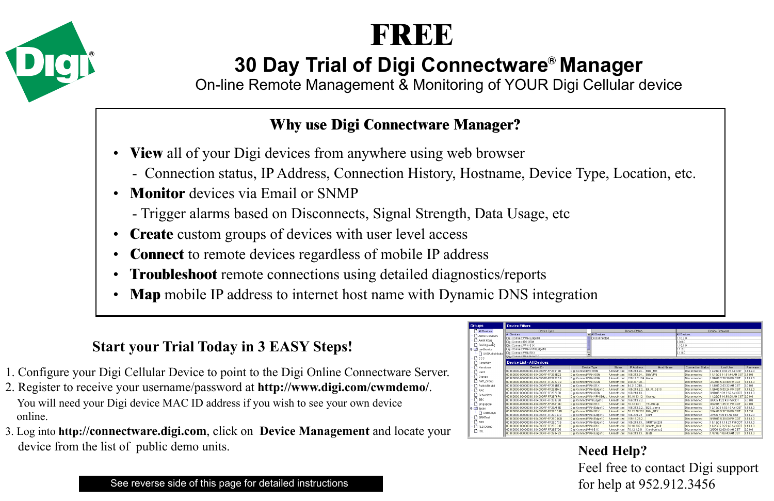



# **30 Day Trial of Digi Connectware<sup>®</sup> Manager**

On-line Remote Management & Monitoring of YOUR Digi Cellular device

### **Why use Digi Connectware Manager?**

- **View** all of your Digi devices from anywhere using web browser
	- Connection status, IP Address, Connection History, Hostname, Device Type, Location, etc.
- **Monitor** devices via Email or SNMP
	- Trigger alarms based on Disconnects, Signal Strength, Data Usage, etc
- **Create** custom groups of devices with user level access
- **Connect** to remote devices regardless of mobile IP address
- **Troubleshoot** remote connections using detailed diagnostics/reports
- **Map** mobile IP address to internet host name with Dynamic DNS integration

## **Start your Trial Today in 3 EASY Steps!**

- 1. Configure your Digi Cellular Device to point to the Digi Online Connectware Server.
- 2. Register to receive your username/password at **http://www.digi.com/cwmdemo/**. You will need your Digi device MAC ID address if you wish to see your own device online.
- 3. Log into **http://connectware.digi.com**, click on **Device Management** and locate your device from the list of public demo units.

| squo               | <b>Device Filters</b>               |                          |                |                            |                       |                     |                                  |          |
|--------------------|-------------------------------------|--------------------------|----------------|----------------------------|-----------------------|---------------------|----------------------------------|----------|
| Al Divites         | Device Type                         |                          |                | Direct Status              |                       |                     | Diesce Firmware                  |          |
| Azme Cleaners      | <b>ALL Devocant</b>                 | All Devices              |                |                            |                       | <b>All Devices</b>  |                                  |          |
| Amaticago          | Disi Connect VXV Edge10             |                          | Discornerted   |                            |                       | 1.1020              |                                  |          |
|                    | Digi Connect RG 08M                 |                          |                |                            |                       | 2000                |                                  |          |
| <b>Newmore</b>     | Disi CospectVPN StV                 |                          |                |                            |                       | 11010               |                                  |          |
| caratorics         | Dist Connect WAN VPN Fdg+10         |                          |                |                            |                       | 21.20               |                                  |          |
| O UCSA distributo  | Digi Connect YOU S1X                | ×                        |                |                            |                       | 2100                |                                  |          |
| $\Box$ ccc         | <b>Dist Connect URN Exports</b>     |                          |                |                            |                       |                     |                                  |          |
| ClearVise          | Device List - All Devices           |                          |                |                            |                       |                     |                                  |          |
| Honduras           | Desre Div                           | Device Type              | REGENS         | IP Address                 | <b>Host Name</b>      | Connection Status   | Last Use                         | Firmware |
| $D$ Hunt           | 00100100-00100100-00409DFF-FF225198 | Digi Connect RG GSM      | Unsetricted    | 86.213.24                  | <b>Bills RG</b>       | Disconnected        | 12/21/05 R 42:27 AM CST          | 11020    |
| Onnte              | 00100103-00100103-00409DFF-FF268E32 | Digi ConnectWAN OSM      | Unrestricted   | 66.213.24                  | <b>REFINEN</b>        | Disconnected        | 11/16/05 11:01:44 AM CST 2:1.0.0 |          |
|                    | 00000000-00000000-00409DFF-FF2827D9 | Digi ConnectVWN GSM      | Unrestricted   | 59182134 Hone              |                       | Discosported        | 1/26/06 2:28:36 PM CRT           | 11020    |
| PAR_Orsup          | 00100100-00100100-00409DFF-FF2827DR | Disi ConnectWWN GSM      | Untertricted   | 200.36.150                 |                       | <b>Discorperted</b> | 2/23/06 5:2R 4R PM CRT           | 11010    |
| PatrickBristol     | 00100100-00100100-00409DFF-FF2B4R12 | Dici ConnectWWN S1X      | Unrestricted   | 84.213.240                 |                       | Disconnected        | 11/005 2:52 32 AM CST            | 2000     |
| <b>DRAC</b>        | 00100103-00100103-00409DFF-FF285D43 | Digi ConnectWAN Edge10   | Unrestricted   |                            | 66.213.2.2 Eli R 0E10 | Disconnected        | 1/26/06 5:50:24 PM CST           | 1.10.2.0 |
| Schweiter          | 00100100-00100100-004090EE-EE282390 | Digi Connect WAN GSM     | Unrestricted   | 66.213.13                  |                       | Discosperted        | 8/10/05 10:12:52 AM CDT          | 11010    |
|                    | 00100100-00100100-004090EF-EE2878FA | Disi ConnectWAN VPN Edg. | Unrestricted   | \$0.10.33.12               | Orange                | <b>Discorperted</b> | 11/2205 10:59:08 AM CST 2:0:0:0  |          |
| Desc               | 00100100-00100100-00409DFF-FF200780 | Digi ConnectVPN Edge10   | Unrestricted   | 18821322                   |                       | Disconnected        | 3/8/05 4 22:43 PM COT            | 2000     |
| Straspore          | 00100100-00100100-00409DFF-FF28A19D | Digi ConnectWAN S1X      | Unrestricted   | 70.12.93.1                 | TSL Oroup             | Disconnected        | 9/22/05 1:35:11 PM CDT           | 2.0.0.0  |
| <sup>1</sup> Spain | 00100100-00100100-00409DEF-EE28AF1E | Disi ConnectWWN Edge10   | Unrestricted   | 166.213.2.2 B2B demo-      |                       | Discosograd         | 12/12/05 1:53:15 AM CRT          | 11010    |
| Catatunya          | 00100100-00100100-00409DFF-FF78CDFD | Digi ConnectWWN S1X      | Unrestricted   | 70 12 78 201               | Bills S1X             | Disconnected        | 2/14/06 5:37:26 PM CST           | 2120     |
| SRMTest            | 00100103-00100103-00409DFF-FF21D639 | Digi ConnectWAN Edge10   | Unrestricted   | 68.209.2.1                 | Hure                  | Disconnected        | 2/7/06 7:05:41 AM CST            | 1.10.2.0 |
|                    | 00100100-00100100-00409DFF-FF28D6CD | Digi ConnectWAN Edge10   | Unrestricted   | 159.18.28.2                |                       | Disconnected        | 9/19/05 5:38:00 PM CDT           | 11010    |
| $\bigcap$ ses      | 00100100-00100100-00409DFF-FF28D739 | Disi ConnectWWN Edge10   | Unrestricted   | 66.213.13                  | SRMTest236            | Discosonstad        | 10120511927 PM CDT               | 11010    |
| TLD Demo           | 00100100-00100100-00409DFF-FF28DO8F | Dici ConnectWWN S1X      | Untertricted   | 70.10.232.37 Atlanta, Unit |                       | Discorperted        | 10/20/05 8:25:40 AM CDT          | 1.1018   |
| $D$ TSL            | 00100100-00100100-00409DFF-FF28E790 | Digi ConnectVPN S1X      | Unrestricted   | 70.12.1.231                | Cardinaries2          | Disconnected        | 2/3/06 12:01:43 AM CST           | 2.0.0.0  |
|                    | 00100100-00100100-004090FF-FF290493 | Digi ConnectWWN Edge10   | I investricted | 166.213.13. Not1           |                       | Discosnaries        | 1/17/08 1:09:43 AM CST           | 1.10.1.0 |

**Need Help?** Feel free to contact Digi support